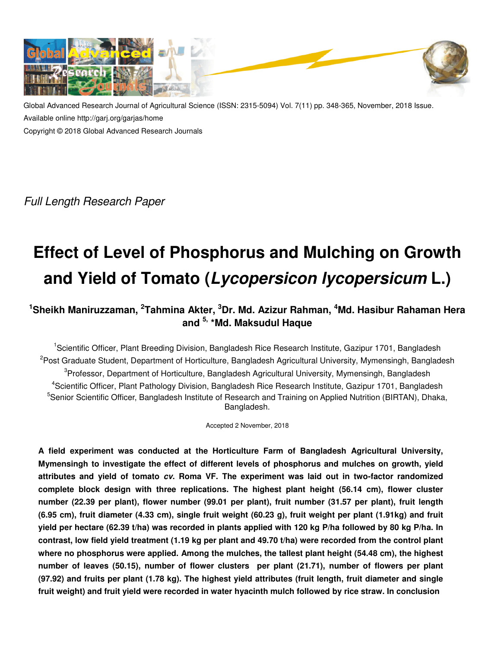

Global Advanced Research Journal of Agricultural Science (ISSN: 2315-5094) Vol. 7(11) pp. 348-365, November, 2018 Issue. Available online http://garj.org/garjas/home Copyright © 2018 Global Advanced Research Journals

Full Length Research Paper

# **Effect of Level of Phosphorus and Mulching on Growth and Yield of Tomato (Lycopersicon lycopersicum L.)**

# **<sup>1</sup>Sheikh Maniruzzaman, <sup>2</sup> Tahmina Akter, <sup>3</sup>Dr. Md. Azizur Rahman, <sup>4</sup>Md. Hasibur Rahaman Hera and 5, \*Md. Maksudul Haque**

<sup>1</sup>Scientific Officer, Plant Breeding Division, Bangladesh Rice Research Institute, Gazipur 1701, Bangladesh <sup>2</sup>Post Graduate Student, Department of Horticulture, Bangladesh Agricultural University, Mymensingh, Bangladesh <sup>3</sup>Professor, Department of Horticulture, Bangladesh Agricultural University, Mymensingh, Bangladesh 4 Scientific Officer, Plant Pathology Division, Bangladesh Rice Research Institute, Gazipur 1701, Bangladesh <sup>5</sup>Senior Scientific Officer, Bangladesh Institute of Research and Training on Applied Nutrition (BIRTAN), Dhaka, Bangladesh.

Accepted 2 November, 2018

**A field experiment was conducted at the Horticulture Farm of Bangladesh Agricultural University, Mymensingh to investigate the effect of different levels of phosphorus and mulches on growth, yield attributes and yield of tomato cv. Roma VF. The experiment was laid out in two-factor randomized complete block design with three replications. The highest plant height (56.14 cm), flower cluster number (22.39 per plant), flower number (99.01 per plant), fruit number (31.57 per plant), fruit length (6.95 cm), fruit diameter (4.33 cm), single fruit weight (60.23 g), fruit weight per plant (1.91kg) and fruit yield per hectare (62.39 t/ha) was recorded in plants applied with 120 kg P/ha followed by 80 kg P/ha. In contrast, low field yield treatment (1.19 kg per plant and 49.70 t/ha) were recorded from the control plant where no phosphorus were applied. Among the mulches, the tallest plant height (54.48 cm), the highest number of leaves (50.15), number of flower clusters per plant (21.71), number of flowers per plant (97.92) and fruits per plant (1.78 kg). The highest yield attributes (fruit length, fruit diameter and single fruit weight) and fruit yield were recorded in water hyacinth mulch followed by rice straw. In conclusion**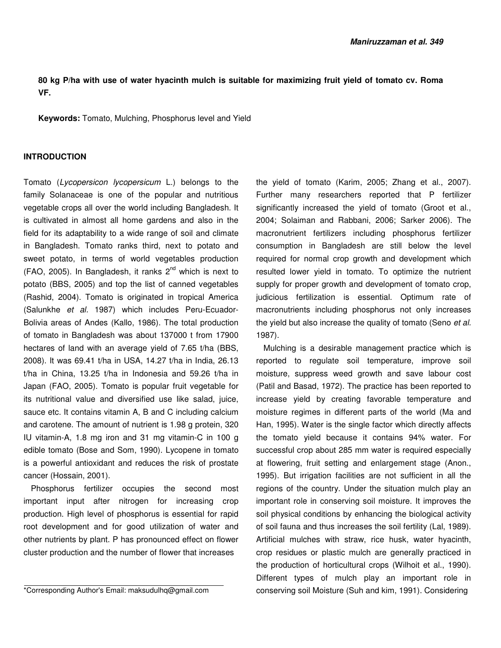# **80 kg P/ha with use of water hyacinth mulch is suitable for maximizing fruit yield of tomato cv. Roma VF.**

**Keywords:** Tomato, Mulching, Phosphorus level and Yield

### **INTRODUCTION**

Tomato (Lycopersicon lycopersicum L.) belongs to the family Solanaceae is one of the popular and nutritious vegetable crops all over the world including Bangladesh. It is cultivated in almost all home gardens and also in the field for its adaptability to a wide range of soil and climate in Bangladesh. Tomato ranks third, next to potato and sweet potato, in terms of world vegetables production  $(FAO, 2005)$ . In Bangladesh, it ranks  $2<sup>nd</sup>$  which is next to potato (BBS, 2005) and top the list of canned vegetables (Rashid, 2004). Tomato is originated in tropical America (Salunkhe et al. 1987) which includes Peru-Ecuador-Bolivia areas of Andes (Kallo, 1986). The total production of tomato in Bangladesh was about 137000 t from 17900 hectares of land with an average yield of 7.65 t/ha (BBS, 2008). It was 69.41 t/ha in USA, 14.27 t/ha in India, 26.13 t/ha in China, 13.25 t/ha in Indonesia and 59.26 t/ha in Japan (FAO, 2005). Tomato is popular fruit vegetable for its nutritional value and diversified use like salad, juice, sauce etc. It contains vitamin A, B and C including calcium and carotene. The amount of nutrient is 1.98 g protein, 320 IU vitamin-A, 1.8 mg iron and 31 mg vitamin-C in 100 g edible tomato (Bose and Som, 1990). Lycopene in tomato is a powerful antioxidant and reduces the risk of prostate cancer (Hossain, 2001).

Phosphorus fertilizer occupies the second most important input after nitrogen for increasing crop production. High level of phosphorus is essential for rapid root development and for good utilization of water and other nutrients by plant. P has pronounced effect on flower cluster production and the number of flower that increases

the yield of tomato (Karim, 2005; Zhang et al., 2007). Further many researchers reported that P fertilizer significantly increased the yield of tomato (Groot et al., 2004; Solaiman and Rabbani, 2006; Sarker 2006). The macronutrient fertilizers including phosphorus fertilizer consumption in Bangladesh are still below the level required for normal crop growth and development which resulted lower yield in tomato. To optimize the nutrient supply for proper growth and development of tomato crop, judicious fertilization is essential. Optimum rate of macronutrients including phosphorus not only increases the yield but also increase the quality of tomato (Seno et al. 1987).

Mulching is a desirable management practice which is reported to regulate soil temperature, improve soil moisture, suppress weed growth and save labour cost (Patil and Basad, 1972). The practice has been reported to increase yield by creating favorable temperature and moisture regimes in different parts of the world (Ma and Han, 1995). Water is the single factor which directly affects the tomato yield because it contains 94% water. For successful crop about 285 mm water is required especially at flowering, fruit setting and enlargement stage (Anon., 1995). But irrigation facilities are not sufficient in all the regions of the country. Under the situation mulch play an important role in conserving soil moisture. It improves the soil physical conditions by enhancing the biological activity of soil fauna and thus increases the soil fertility (Lal, 1989). Artificial mulches with straw, rice husk, water hyacinth, crop residues or plastic mulch are generally practiced in the production of horticultural crops (Wilhoit et al., 1990). Different types of mulch play an important role in conserving soil Moisture (Suh and kim, 1991). Considering

<sup>\*</sup>Corresponding Author's Email: maksudulhq@gmail.com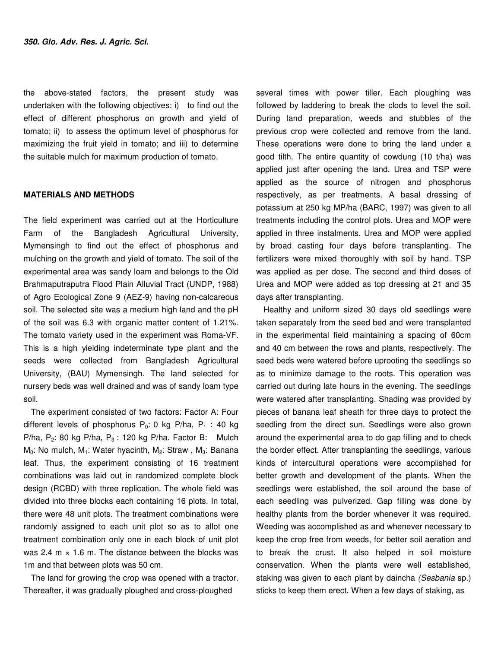the above-stated factors, the present study was undertaken with the following objectives: i) to find out the effect of different phosphorus on growth and yield of tomato; ii) to assess the optimum level of phosphorus for maximizing the fruit yield in tomato; and iii) to determine the suitable mulch for maximum production of tomato.

#### **MATERIALS AND METHODS**

The field experiment was carried out at the Horticulture Farm of the Bangladesh Agricultural University, Mymensingh to find out the effect of phosphorus and mulching on the growth and yield of tomato. The soil of the experimental area was sandy loam and belongs to the Old Brahmaputraputra Flood Plain Alluvial Tract (UNDP, 1988) of Agro Ecological Zone 9 (AEZ-9) having non-calcareous soil. The selected site was a medium high land and the pH of the soil was 6.3 with organic matter content of 1.21%. The tomato variety used in the experiment was Roma-VF. This is a high yielding indeterminate type plant and the seeds were collected from Bangladesh Agricultural University, (BAU) Mymensingh. The land selected for nursery beds was well drained and was of sandy loam type soil.

The experiment consisted of two factors: Factor A: Four different levels of phosphorus  $P_0$ : 0 kg P/ha,  $P_1$  : 40 kg P/ha,  $P_2$ : 80 kg P/ha,  $P_3$ : 120 kg P/ha. Factor B: Mulch  $M_0$ : No mulch, M<sub>1</sub>: Water hyacinth, M<sub>2</sub>: Straw, M<sub>3</sub>: Banana leaf. Thus, the experiment consisting of 16 treatment combinations was laid out in randomized complete block design (RCBD) with three replication. The whole field was divided into three blocks each containing 16 plots. In total, there were 48 unit plots. The treatment combinations were randomly assigned to each unit plot so as to allot one treatment combination only one in each block of unit plot was 2.4 m  $\times$  1.6 m. The distance between the blocks was 1m and that between plots was 50 cm.

The land for growing the crop was opened with a tractor. Thereafter, it was gradually ploughed and cross-ploughed

several times with power tiller. Each ploughing was followed by laddering to break the clods to level the soil. During land preparation, weeds and stubbles of the previous crop were collected and remove from the land. These operations were done to bring the land under a good tilth. The entire quantity of cowdung (10 t/ha) was applied just after opening the land. Urea and TSP were applied as the source of nitrogen and phosphorus respectively, as per treatments. A basal dressing of potassium at 250 kg MP/ha (BARC, 1997) was given to all treatments including the control plots. Urea and MOP were applied in three instalments. Urea and MOP were applied by broad casting four days before transplanting. The fertilizers were mixed thoroughly with soil by hand. TSP was applied as per dose. The second and third doses of Urea and MOP were added as top dressing at 21 and 35 days after transplanting.

Healthy and uniform sized 30 days old seedlings were taken separately from the seed bed and were transplanted in the experimental field maintaining a spacing of 60cm and 40 cm between the rows and plants, respectively. The seed beds were watered before uprooting the seedlings so as to minimize damage to the roots. This operation was carried out during late hours in the evening. The seedlings were watered after transplanting. Shading was provided by pieces of banana leaf sheath for three days to protect the seedling from the direct sun. Seedlings were also grown around the experimental area to do gap filling and to check the border effect. After transplanting the seedlings, various kinds of intercultural operations were accomplished for better growth and development of the plants. When the seedlings were established, the soil around the base of each seedling was pulverized. Gap filling was done by healthy plants from the border whenever it was required. Weeding was accomplished as and whenever necessary to keep the crop free from weeds, for better soil aeration and to break the crust. It also helped in soil moisture conservation. When the plants were well established, staking was given to each plant by daincha (Sesbania sp.) sticks to keep them erect. When a few days of staking, as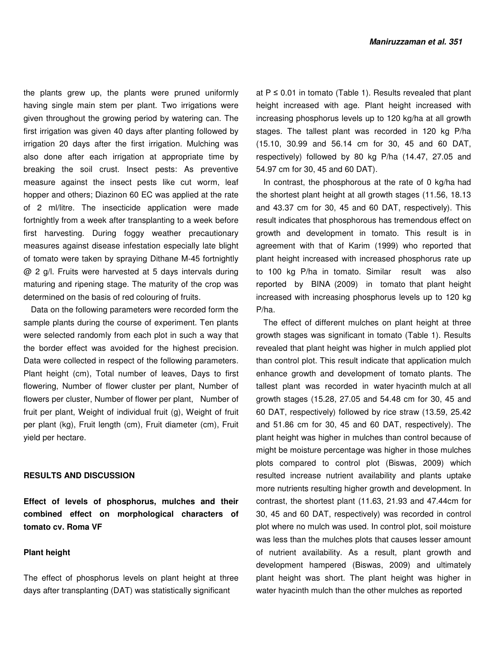the plants grew up, the plants were pruned uniformly having single main stem per plant. Two irrigations were given throughout the growing period by watering can. The first irrigation was given 40 days after planting followed by irrigation 20 days after the first irrigation. Mulching was also done after each irrigation at appropriate time by breaking the soil crust. Insect pests: As preventive measure against the insect pests like cut worm, leaf hopper and others; Diazinon 60 EC was applied at the rate of 2 ml/litre. The insecticide application were made fortnightly from a week after transplanting to a week before first harvesting. During foggy weather precautionary measures against disease infestation especially late blight of tomato were taken by spraying Dithane M-45 fortnightly @ 2 g/l. Fruits were harvested at 5 days intervals during maturing and ripening stage. The maturity of the crop was determined on the basis of red colouring of fruits.

Data on the following parameters were recorded form the sample plants during the course of experiment. Ten plants were selected randomly from each plot in such a way that the border effect was avoided for the highest precision. Data were collected in respect of the following parameters. Plant height (cm), Total number of leaves, Days to first flowering, Number of flower cluster per plant, Number of flowers per cluster, Number of flower per plant, Number of fruit per plant, Weight of individual fruit (g), Weight of fruit per plant (kg), Fruit length (cm), Fruit diameter (cm), Fruit yield per hectare.

#### **RESULTS AND DISCUSSION**

**Effect of levels of phosphorus, mulches and their combined effect on morphological characters of tomato cv. Roma VF** 

# **Plant height**

The effect of phosphorus levels on plant height at three days after transplanting (DAT) was statistically significant

at  $P \le 0.01$  in tomato (Table 1). Results revealed that plant height increased with age. Plant height increased with increasing phosphorus levels up to 120 kg/ha at all growth stages. The tallest plant was recorded in 120 kg P/ha (15.10, 30.99 and 56.14 cm for 30, 45 and 60 DAT, respectively) followed by 80 kg P/ha (14.47, 27.05 and 54.97 cm for 30, 45 and 60 DAT).

In contrast, the phosphorous at the rate of 0 kg/ha had the shortest plant height at all growth stages (11.56, 18.13 and 43.37 cm for 30, 45 and 60 DAT, respectively). This result indicates that phosphorous has tremendous effect on growth and development in tomato. This result is in agreement with that of Karim (1999) who reported that plant height increased with increased phosphorus rate up to 100 kg P/ha in tomato. Similar result was also reported by BINA (2009) in tomato that plant height increased with increasing phosphorus levels up to 120 kg P/ha.

The effect of different mulches on plant height at three growth stages was significant in tomato (Table 1). Results revealed that plant height was higher in mulch applied plot than control plot. This result indicate that application mulch enhance growth and development of tomato plants. The tallest plant was recorded in water hyacinth mulch at all growth stages (15.28, 27.05 and 54.48 cm for 30, 45 and 60 DAT, respectively) followed by rice straw (13.59, 25.42 and 51.86 cm for 30, 45 and 60 DAT, respectively). The plant height was higher in mulches than control because of might be moisture percentage was higher in those mulches plots compared to control plot (Biswas, 2009) which resulted increase nutrient availability and plants uptake more nutrients resulting higher growth and development. In contrast, the shortest plant (11.63, 21.93 and 47.44cm for 30, 45 and 60 DAT, respectively) was recorded in control plot where no mulch was used. In control plot, soil moisture was less than the mulches plots that causes lesser amount of nutrient availability. As a result, plant growth and development hampered (Biswas, 2009) and ultimately plant height was short. The plant height was higher in water hyacinth mulch than the other mulches as reported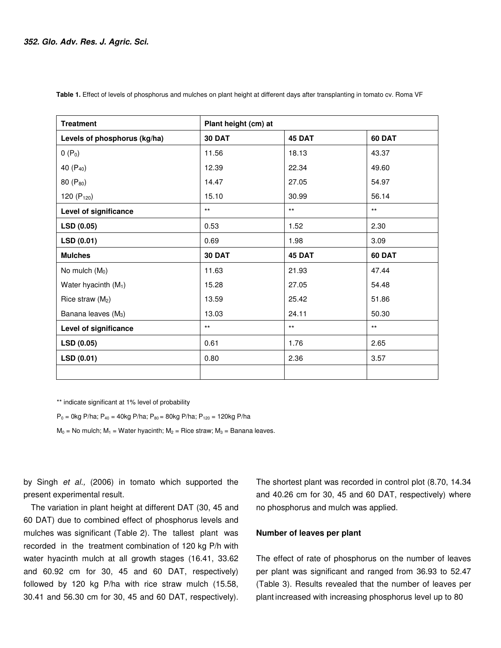| <b>Treatment</b>                | Plant height (cm) at |              |               |  |
|---------------------------------|----------------------|--------------|---------------|--|
| Levels of phosphorus (kg/ha)    | <b>30 DAT</b>        | 45 DAT       | <b>60 DAT</b> |  |
| $0(P_0)$                        | 11.56                | 18.13        | 43.37         |  |
| 40 (P <sub>40</sub> )           | 12.39                | 22.34        | 49.60         |  |
| 80 (P <sub>80</sub> )           | 14.47                | 27.05        | 54.97         |  |
| 120 $(P_{120})$                 | 15.10                | 30.99        | 56.14         |  |
| Level of significance           | $***$                | $***$        | $***$         |  |
| LSD (0.05)                      | 0.53                 | 1.52         | 2.30          |  |
| LSD (0.01)                      | 0.69                 | 1.98         | 3.09          |  |
| <b>Mulches</b>                  | <b>30 DAT</b>        | 45 DAT       | <b>60 DAT</b> |  |
| No mulch $(M0)$                 | 11.63                | 21.93        | 47.44         |  |
| Water hyacinth $(M_1)$          | 15.28                | 27.05        | 54.48         |  |
| Rice straw $(M_2)$              | 13.59                | 25.42        | 51.86         |  |
| Banana leaves (M <sub>3</sub> ) | 13.03                | 24.11        | 50.30         |  |
| Level of significance           | $***$                | $\star\star$ | $***$         |  |
| LSD (0.05)                      | 0.61                 | 1.76         | 2.65          |  |
| LSD(0.01)                       | 0.80                 | 2.36         | 3.57          |  |
|                                 |                      |              |               |  |

 **Table 1.** Effect of levels of phosphorus and mulches on plant height at different days after transplanting in tomato cv. Roma VF

\*\* indicate significant at 1% level of probability

 $P_0$  = 0kg P/ha;  $P_{40}$  = 40kg P/ha;  $P_{80}$  = 80kg P/ha;  $P_{120}$  = 120kg P/ha

 $M_0$  = No mulch;  $M_1$  = Water hyacinth;  $M_2$  = Rice straw;  $M_3$  = Banana leaves.

by Singh et al., (2006) in tomato which supported the present experimental result.

The variation in plant height at different DAT (30, 45 and 60 DAT) due to combined effect of phosphorus levels and mulches was significant (Table 2). The tallest plant was recorded in the treatment combination of 120 kg P/h with water hyacinth mulch at all growth stages (16.41, 33.62 and 60.92 cm for 30, 45 and 60 DAT, respectively) followed by 120 kg P/ha with rice straw mulch (15.58, 30.41 and 56.30 cm for 30, 45 and 60 DAT, respectively).

The shortest plant was recorded in control plot (8.70, 14.34 and 40.26 cm for 30, 45 and 60 DAT, respectively) where no phosphorus and mulch was applied.

# **Number of leaves per plant**

The effect of rate of phosphorus on the number of leaves per plant was significant and ranged from 36.93 to 52.47 (Table 3). Results revealed that the number of leaves per plant increased with increasing phosphorus level up to 80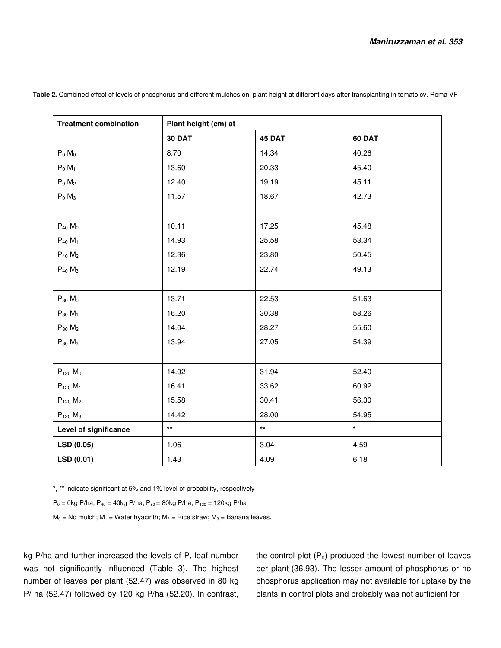| <b>Treatment combination</b> | Plant height (cm) at |              |         |  |  |
|------------------------------|----------------------|--------------|---------|--|--|
|                              | <b>30 DAT</b>        | 45 DAT       | 60 DAT  |  |  |
| $P_0$ $M_0$                  | 8.70                 | 14.34        | 40.26   |  |  |
| $P_0$ $M_1$                  | 13.60                | 20.33        | 45.40   |  |  |
| $P_0$ $M_2$                  | 12.40                | 19.19        | 45.11   |  |  |
| $P_0$ $M_3$                  | 11.57                | 18.67        | 42.73   |  |  |
|                              |                      |              |         |  |  |
| $P_{40}$ $M_0$               | 10.11                | 17.25        | 45.48   |  |  |
| $P_{40} M_1$                 | 14.93                | 25.58        | 53.34   |  |  |
| $P_{40}$ $M_2$               | 12.36                | 23.80        | 50.45   |  |  |
| $P_{40}$ $M_3$               | 12.19                | 22.74        | 49.13   |  |  |
|                              |                      |              |         |  |  |
| $P_{80}$ $M_0$               | 13.71                | 22.53        | 51.63   |  |  |
| $P_{80}$ $M_1$               | 16.20                | 30.38        | 58.26   |  |  |
| $P_{80}$ $M_2$               | 14.04                | 28.27        | 55.60   |  |  |
| $P_{80}$ $M_3$               | 13.94                | 27.05        | 54.39   |  |  |
|                              |                      |              |         |  |  |
| $P_{120}$ $M_0$              | 14.02                | 31.94        | 52.40   |  |  |
| $P_{120}$ $M_1$              | 16.41                | 33.62        | 60.92   |  |  |
| $P_{120}$ $M_2$              | 15.58                | 30.41        | 56.30   |  |  |
| $P_{120}$ $M_3$              | 14.42                | 28.00        | 54.95   |  |  |
| Level of significance        | $\star\star$         | $\star\star$ | $\star$ |  |  |
| LSD (0.05)                   | 1.06                 | 3.04         | 4.59    |  |  |
| LSD (0.01)                   | 1.43                 | 4.09         | 6.18    |  |  |

 **Table 2.** Combined effect of levels of phosphorus and different mulches on plant height at different days after transplanting in tomato cv. Roma VF

\*, \*\* indicate significant at 5% and 1% level of probability, respectively

 $P_0 = 0$ kg P/ha;  $P_{40} = 40$ kg P/ha;  $P_{80} = 80$ kg P/ha;  $P_{120} = 120$ kg P/ha

 $M_0$  = No mulch;  $M_1$  = Water hyacinth;  $M_2$  = Rice straw;  $M_3$  = Banana leaves.

kg P/ha and further increased the levels of P, leaf number was not significantly influenced (Table 3). The highest number of leaves per plant (52.47) was observed in 80 kg P/ ha (52.47) followed by 120 kg P/ha (52.20). In contrast,

the control plot  $(P_0)$  produced the lowest number of leaves per plant (36.93). The lesser amount of phosphorus or no phosphorus application may not available for uptake by the plants in control plots and probably was not sufficient for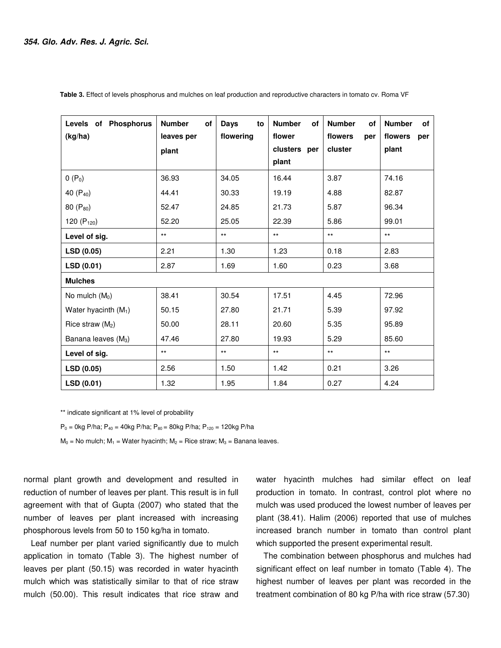| Levels of Phosphorus<br>(kg/ha) | <b>Number</b><br>of<br>leaves per<br>plant | <b>Days</b><br>to<br>flowering | <b>Number</b><br>of<br>flower<br>clusters per<br>plant | <b>Number</b><br>of<br>flowers<br>per<br>cluster | <b>Number</b><br>of<br>flowers<br>per<br>plant |
|---------------------------------|--------------------------------------------|--------------------------------|--------------------------------------------------------|--------------------------------------------------|------------------------------------------------|
| $0(P_0)$                        | 36.93                                      | 34.05                          | 16.44                                                  | 3.87                                             | 74.16                                          |
| 40 (P <sub>40</sub> )           | 44.41                                      | 30.33                          | 19.19                                                  | 4.88                                             | 82.87                                          |
| 80 (P <sub>80</sub> )           | 52.47                                      | 24.85                          | 21.73                                                  | 5.87                                             | 96.34                                          |
| 120 $(P_{120})$                 | 52.20                                      | 25.05                          | 22.39                                                  | 5.86                                             | 99.01                                          |
| Level of sig.                   | $***$                                      | $***$                          | $***$                                                  | $***$                                            | $***$                                          |
| LSD (0.05)                      | 2.21                                       | 1.30                           | 1.23                                                   | 0.18                                             | 2.83                                           |
| LSD(0.01)                       | 2.87                                       | 1.69                           | 1.60                                                   | 0.23                                             | 3.68                                           |
| <b>Mulches</b>                  |                                            |                                |                                                        |                                                  |                                                |
| No mulch $(M0)$                 | 38.41                                      | 30.54                          | 17.51                                                  | 4.45                                             | 72.96                                          |
| Water hyacinth $(M_1)$          | 50.15                                      | 27.80                          | 21.71                                                  | 5.39                                             | 97.92                                          |
| Rice straw (M <sub>2</sub> )    | 50.00                                      | 28.11                          | 20.60                                                  | 5.35                                             | 95.89                                          |
| Banana leaves (M <sub>3</sub> ) | 47.46                                      | 27.80                          | 19.93                                                  | 5.29                                             | 85.60                                          |
| Level of sig.                   | $***$                                      | $***$                          | $***$                                                  | $***$                                            | $***$                                          |
| LSD (0.05)                      | 2.56                                       | 1.50                           | 1.42                                                   | 0.21                                             | 3.26                                           |
| LSD(0.01)                       | 1.32                                       | 1.95                           | 1.84                                                   | 0.27                                             | 4.24                                           |

 **Table 3.** Effect of levels phosphorus and mulches on leaf production and reproductive characters in tomato cv. Roma VF

\*\* indicate significant at 1% level of probability

 $P_0 = 0$ kg P/ha;  $P_{40} = 40$ kg P/ha;  $P_{80} = 80$ kg P/ha;  $P_{120} = 120$ kg P/ha

 $M_0$  = No mulch;  $M_1$  = Water hyacinth;  $M_2$  = Rice straw;  $M_3$  = Banana leaves.

normal plant growth and development and resulted in reduction of number of leaves per plant. This result is in full agreement with that of Gupta (2007) who stated that the number of leaves per plant increased with increasing phosphorous levels from 50 to 150 kg/ha in tomato.

Leaf number per plant varied significantly due to mulch application in tomato (Table 3). The highest number of leaves per plant (50.15) was recorded in water hyacinth mulch which was statistically similar to that of rice straw mulch (50.00). This result indicates that rice straw and

water hyacinth mulches had similar effect on leaf production in tomato. In contrast, control plot where no mulch was used produced the lowest number of leaves per plant (38.41). Halim (2006) reported that use of mulches increased branch number in tomato than control plant which supported the present experimental result.

The combination between phosphorus and mulches had significant effect on leaf number in tomato (Table 4). The highest number of leaves per plant was recorded in the treatment combination of 80 kg P/ha with rice straw (57.30)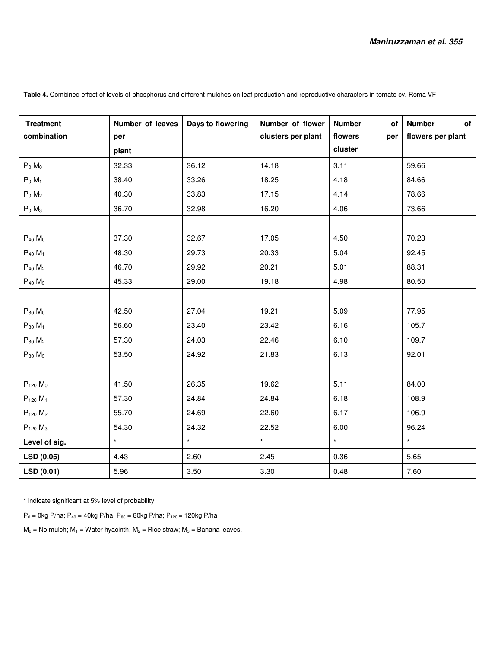| <b>Treatment</b><br>combination | Number of leaves<br>per | Days to flowering | Number of flower<br>clusters per plant | <b>Number</b><br>of<br>flowers<br>per | of<br><b>Number</b><br>flowers per plant |
|---------------------------------|-------------------------|-------------------|----------------------------------------|---------------------------------------|------------------------------------------|
|                                 | plant                   |                   |                                        | cluster                               |                                          |
| $P_0$ M <sub>0</sub>            | 32.33                   | 36.12             | 14.18                                  | 3.11                                  | 59.66                                    |
| $P_0$ M <sub>1</sub>            | 38.40                   | 33.26             | 18.25                                  | 4.18                                  | 84.66                                    |
| $P_0$ $M_2$                     | 40.30                   | 33.83             | 17.15                                  | 4.14                                  | 78.66                                    |
| $P_0$ $M_3$                     | 36.70                   | 32.98             | 16.20                                  | 4.06                                  | 73.66                                    |
|                                 |                         |                   |                                        |                                       |                                          |
| $P_{40}$ $M_0$                  | 37.30                   | 32.67             | 17.05                                  | 4.50                                  | 70.23                                    |
| $P_{40}$ $M_1$                  | 48.30                   | 29.73             | 20.33                                  | 5.04                                  | 92.45                                    |
| $P_{40}$ $M_2$                  | 46.70                   | 29.92             | 20.21                                  | 5.01                                  | 88.31                                    |
| $P_{40}$ $M_3$                  | 45.33                   | 29.00             | 19.18                                  | 4.98                                  | 80.50                                    |
|                                 |                         |                   |                                        |                                       |                                          |
| $P_{80}$ $M_0$                  | 42.50                   | 27.04             | 19.21                                  | 5.09                                  | 77.95                                    |
| $P_{80}$ $M_1$                  | 56.60                   | 23.40             | 23.42                                  | 6.16                                  | 105.7                                    |
| $P_{80}$ $M_2$                  | 57.30                   | 24.03             | 22.46                                  | 6.10                                  | 109.7                                    |
| $P_{80}$ $M_3$                  | 53.50                   | 24.92             | 21.83                                  | 6.13                                  | 92.01                                    |
|                                 |                         |                   |                                        |                                       |                                          |
| $P_{120}$ $M_0$                 | 41.50                   | 26.35             | 19.62                                  | 5.11                                  | 84.00                                    |
| $P_{120}$ M <sub>1</sub>        | 57.30                   | 24.84             | 24.84                                  | 6.18                                  | 108.9                                    |
| $P_{120}$ $M_2$                 | 55.70                   | 24.69             | 22.60                                  | 6.17                                  | 106.9                                    |
| $P_{120}$ $M_3$                 | 54.30                   | 24.32             | 22.52                                  | 6.00                                  | 96.24                                    |
| Level of sig.                   | $\star$                 | $\star$           | $\star$                                | $\star$                               | $\star$                                  |
| LSD(0.05)                       | 4.43                    | 2.60              | 2.45                                   | 0.36                                  | 5.65                                     |
| LSD(0.01)                       | 5.96                    | 3.50              | 3.30                                   | 0.48                                  | 7.60                                     |

Table 4. Combined effect of levels of phosphorus and different mulches on leaf production and reproductive characters in tomato cv. Roma VF

\* indicate significant at 5% level of probability

 $P_0 = 0$ kg P/ha;  $P_{40} = 40$ kg P/ha;  $P_{80} = 80$ kg P/ha;  $P_{120} = 120$ kg P/ha

 $M_0$  = No mulch;  $M_1$  = Water hyacinth;  $M_2$  = Rice straw;  $M_3$  = Banana leaves.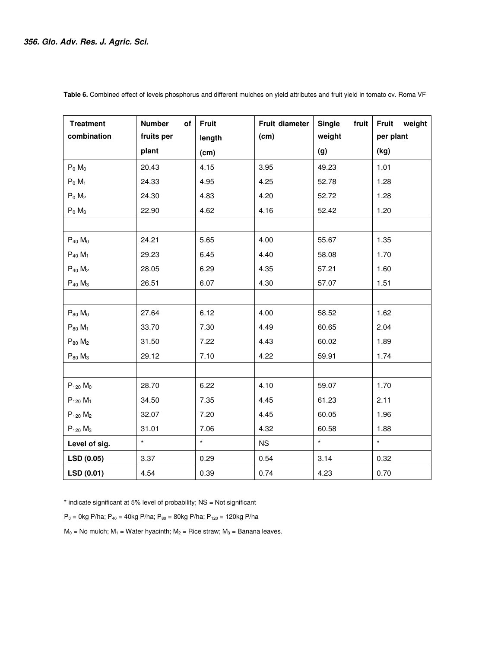| <b>Treatment</b>         | <b>Number</b><br>оf | <b>Fruit</b> | Fruit diameter | Single<br>fruit | <b>Fruit</b><br>weight |
|--------------------------|---------------------|--------------|----------------|-----------------|------------------------|
| combination              | fruits per          | length       | (cm)           | weight          | per plant              |
|                          | plant               | (cm)         |                | (g)             | (kg)                   |
| $P_0$ $M_0$              | 20.43               | 4.15         | 3.95           | 49.23           | 1.01                   |
| $P_0$ M <sub>1</sub>     | 24.33               | 4.95         | 4.25           | 52.78           | 1.28                   |
| $P_0$ $M_2$              | 24.30               | 4.83         | 4.20           | 52.72           | 1.28                   |
| $P_0$ M <sub>3</sub>     | 22.90               | 4.62         | 4.16           | 52.42           | 1.20                   |
|                          |                     |              |                |                 |                        |
| $P_{40}$ $M_0$           | 24.21               | 5.65         | 4.00           | 55.67           | 1.35                   |
| $P_{40} M_1$             | 29.23               | 6.45         | 4.40           | 58.08           | 1.70                   |
| $P_{40}$ $M_2$           | 28.05               | 6.29         | 4.35           | 57.21           | 1.60                   |
| $P_{40}$ $M_3$           | 26.51               | 6.07         | 4.30           | 57.07           | 1.51                   |
|                          |                     |              |                |                 |                        |
| $P_{80}$ $M_0$           | 27.64               | 6.12         | 4.00           | 58.52           | 1.62                   |
| $P_{80}$ $M_1$           | 33.70               | 7.30         | 4.49           | 60.65           | 2.04                   |
| $P_{80}$ $M_2$           | 31.50               | 7.22         | 4.43           | 60.02           | 1.89                   |
| $P_{80}$ $M_3$           | 29.12               | 7.10         | 4.22           | 59.91           | 1.74                   |
|                          |                     |              |                |                 |                        |
| $P_{120}$ $M_0$          | 28.70               | 6.22         | 4.10           | 59.07           | 1.70                   |
| $P_{120}$ M <sub>1</sub> | 34.50               | 7.35         | 4.45           | 61.23           | 2.11                   |
| $P_{120}$ $M_2$          | 32.07               | 7.20         | 4.45           | 60.05           | 1.96                   |
| $P_{120}$ $M_3$          | 31.01               | 7.06         | 4.32           | 60.58           | 1.88                   |
| Level of sig.            | $\star$             | $\star$      | <b>NS</b>      | $\star$         | $\star$                |
| LSD(0.05)                | 3.37                | 0.29         | 0.54           | 3.14            | 0.32                   |
| LSD (0.01)               | 4.54                | 0.39         | 0.74           | 4.23            | 0.70                   |

 **Table 6.** Combined effect of levels phosphorus and different mulches on yield attributes and fruit yield in tomato cv. Roma VF

\* indicate significant at 5% level of probability; NS = Not significant

 $P_0 = 0$ kg P/ha;  $P_{40} = 40$ kg P/ha;  $P_{80} = 80$ kg P/ha;  $P_{120} = 120$ kg P/ha

 $M_0$  = No mulch;  $M_1$  = Water hyacinth;  $M_2$  = Rice straw;  $M_3$  = Banana leaves.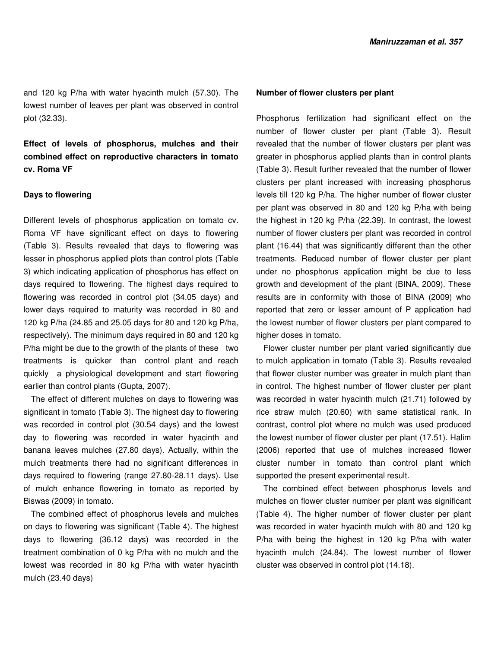and 120 kg P/ha with water hyacinth mulch (57.30). The lowest number of leaves per plant was observed in control plot (32.33).

**Effect of levels of phosphorus, mulches and their combined effect on reproductive characters in tomato cv. Roma VF** 

### **Days to flowering**

Different levels of phosphorus application on tomato cv. Roma VF have significant effect on days to flowering (Table 3). Results revealed that days to flowering was lesser in phosphorus applied plots than control plots (Table 3) which indicating application of phosphorus has effect on days required to flowering. The highest days required to flowering was recorded in control plot (34.05 days) and lower days required to maturity was recorded in 80 and 120 kg P/ha (24.85 and 25.05 days for 80 and 120 kg P/ha, respectively). The minimum days required in 80 and 120 kg P/ha might be due to the growth of the plants of these two treatments is quicker than control plant and reach quickly a physiological development and start flowering earlier than control plants (Gupta, 2007).

The effect of different mulches on days to flowering was significant in tomato (Table 3). The highest day to flowering was recorded in control plot (30.54 days) and the lowest day to flowering was recorded in water hyacinth and banana leaves mulches (27.80 days). Actually, within the mulch treatments there had no significant differences in days required to flowering (range 27.80-28.11 days). Use of mulch enhance flowering in tomato as reported by Biswas (2009) in tomato.

The combined effect of phosphorus levels and mulches on days to flowering was significant (Table 4). The highest days to flowering (36.12 days) was recorded in the treatment combination of 0 kg P/ha with no mulch and the lowest was recorded in 80 kg P/ha with water hyacinth mulch (23.40 days)

#### **Number of flower clusters per plant**

Phosphorus fertilization had significant effect on the number of flower cluster per plant (Table 3). Result revealed that the number of flower clusters per plant was greater in phosphorus applied plants than in control plants (Table 3). Result further revealed that the number of flower clusters per plant increased with increasing phosphorus levels till 120 kg P/ha. The higher number of flower cluster per plant was observed in 80 and 120 kg P/ha with being the highest in 120 kg P/ha (22.39). In contrast, the lowest number of flower clusters per plant was recorded in control plant (16.44) that was significantly different than the other treatments. Reduced number of flower cluster per plant under no phosphorus application might be due to less growth and development of the plant (BINA, 2009). These results are in conformity with those of BINA (2009) who reported that zero or lesser amount of P application had the lowest number of flower clusters per plant compared to higher doses in tomato.

Flower cluster number per plant varied significantly due to mulch application in tomato (Table 3). Results revealed that flower cluster number was greater in mulch plant than in control. The highest number of flower cluster per plant was recorded in water hyacinth mulch (21.71) followed by rice straw mulch (20.60) with same statistical rank. In contrast, control plot where no mulch was used produced the lowest number of flower cluster per plant (17.51). Halim (2006) reported that use of mulches increased flower cluster number in tomato than control plant which supported the present experimental result.

The combined effect between phosphorus levels and mulches on flower cluster number per plant was significant (Table 4). The higher number of flower cluster per plant was recorded in water hyacinth mulch with 80 and 120 kg P/ha with being the highest in 120 kg P/ha with water hyacinth mulch (24.84). The lowest number of flower cluster was observed in control plot (14.18).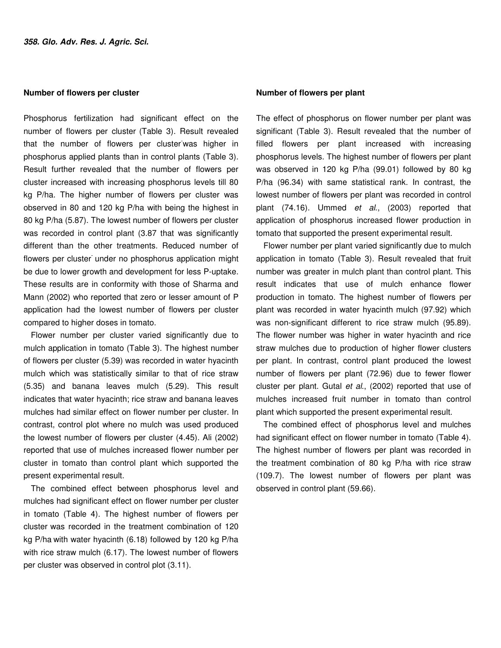#### **Number of flowers per cluster**

Phosphorus fertilization had significant effect on the number of flowers per cluster (Table 3). Result revealed that the number of flowers per cluster-was higher in phosphorus applied plants than in control plants (Table 3). Result further revealed that the number of flowers per cluster increased with increasing phosphorus levels till 80 kg P/ha. The higher number of flowers per cluster was observed in 80 and 120 kg P/ha with being the highest in 80 kg P/ha (5.87). The lowest number of flowers per cluster was recorded in control plant (3.87 that was significantly different than the other treatments. Reduced number of flowers per cluster under no phosphorus application might be due to lower growth and development for less P-uptake. These results are in conformity with those of Sharma and Mann (2002) who reported that zero or lesser amount of P application had the lowest number of flowers per cluster compared to higher doses in tomato.

Flower number per cluster varied significantly due to mulch application in tomato (Table 3). The highest number of flowers per cluster (5.39) was recorded in water hyacinth mulch which was statistically similar to that of rice straw (5.35) and banana leaves mulch (5.29). This result indicates that water hyacinth; rice straw and banana leaves mulches had similar effect on flower number per cluster. In contrast, control plot where no mulch was used produced the lowest number of flowers per cluster (4.45). Ali (2002) reported that use of mulches increased flower number per cluster in tomato than control plant which supported the present experimental result.

The combined effect between phosphorus level and mulches had significant effect on flower number per cluster in tomato (Table 4). The highest number of flowers per cluster was recorded in the treatment combination of 120 kg P/ha with water hyacinth (6.18) followed by 120 kg P/ha with rice straw mulch (6.17). The lowest number of flowers per cluster was observed in control plot (3.11).

#### **Number of flowers per plant**

The effect of phosphorus on flower number per plant was significant (Table 3). Result revealed that the number of filled flowers per plant increased with increasing phosphorus levels. The highest number of flowers per plant was observed in 120 kg P/ha (99.01) followed by 80 kg P/ha (96.34) with same statistical rank. In contrast, the lowest number of flowers per plant was recorded in control plant (74.16). Ummed et al., (2003) reported that application of phosphorus increased flower production in tomato that supported the present experimental result.

Flower number per plant varied significantly due to mulch application in tomato (Table 3). Result revealed that fruit number was greater in mulch plant than control plant. This result indicates that use of mulch enhance flower production in tomato. The highest number of flowers per plant was recorded in water hyacinth mulch (97.92) which was non-significant different to rice straw mulch (95.89). The flower number was higher in water hyacinth and rice straw mulches due to production of higher flower clusters per plant. In contrast, control plant produced the lowest number of flowers per plant (72.96) due to fewer flower cluster per plant. Gutal et al., (2002) reported that use of mulches increased fruit number in tomato than control plant which supported the present experimental result.

The combined effect of phosphorus level and mulches had significant effect on flower number in tomato (Table 4). The highest number of flowers per plant was recorded in the treatment combination of 80 kg P/ha with rice straw (109.7). The lowest number of flowers per plant was observed in control plant (59.66).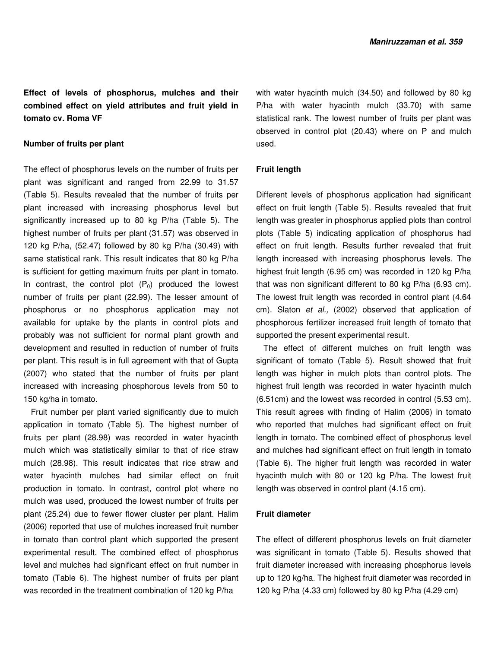**Effect of levels of phosphorus, mulches and their combined effect on yield attributes and fruit yield in tomato cv. Roma VF** 

# **Number of fruits per plant**

The effect of phosphorus levels on the number of fruits per plant was significant and ranged from 22.99 to 31.57 (Table 5). Results revealed that the number of fruits per plant increased with increasing phosphorus level but significantly increased up to 80 kg P/ha (Table 5). The highest number of fruits per plant (31.57) was observed in 120 kg P/ha, (52.47) followed by 80 kg P/ha (30.49) with same statistical rank. This result indicates that 80 kg P/ha is sufficient for getting maximum fruits per plant in tomato. In contrast, the control plot  $(P_0)$  produced the lowest number of fruits per plant (22.99). The lesser amount of phosphorus or no phosphorus application may not available for uptake by the plants in control plots and probably was not sufficient for normal plant growth and development and resulted in reduction of number of fruits per plant. This result is in full agreement with that of Gupta (2007) who stated that the number of fruits per plant increased with increasing phosphorous levels from 50 to 150 kg/ha in tomato.

Fruit number per plant varied significantly due to mulch application in tomato (Table 5). The highest number of fruits per plant (28.98) was recorded in water hyacinth mulch which was statistically similar to that of rice straw mulch (28.98). This result indicates that rice straw and water hyacinth mulches had similar effect on fruit production in tomato. In contrast, control plot where no mulch was used, produced the lowest number of fruits per plant (25.24) due to fewer flower cluster per plant. Halim (2006) reported that use of mulches increased fruit number in tomato than control plant which supported the present experimental result. The combined effect of phosphorus level and mulches had significant effect on fruit number in tomato (Table 6). The highest number of fruits per plant was recorded in the treatment combination of 120 kg P/ha

with water hyacinth mulch (34.50) and followed by 80 kg P/ha with water hyacinth mulch (33.70) with same statistical rank. The lowest number of fruits per plant was observed in control plot (20.43) where on P and mulch used.

#### **Fruit length**

Different levels of phosphorus application had significant effect on fruit length (Table 5). Results revealed that fruit length was greater in phosphorus applied plots than control plots (Table 5) indicating application of phosphorus had effect on fruit length. Results further revealed that fruit length increased with increasing phosphorus levels. The highest fruit length (6.95 cm) was recorded in 120 kg P/ha that was non significant different to 80 kg P/ha (6.93 cm). The lowest fruit length was recorded in control plant (4.64 cm). Slaton et al., (2002) observed that application of phosphorous fertilizer increased fruit length of tomato that supported the present experimental result.

The effect of different mulches on fruit length was significant of tomato (Table 5). Result showed that fruit length was higher in mulch plots than control plots. The highest fruit length was recorded in water hyacinth mulch (6.51cm) and the lowest was recorded in control (5.53 cm). This result agrees with finding of Halim (2006) in tomato who reported that mulches had significant effect on fruit length in tomato. The combined effect of phosphorus level and mulches had significant effect on fruit length in tomato (Table 6). The higher fruit length was recorded in water hyacinth mulch with 80 or 120 kg P/ha. The lowest fruit length was observed in control plant (4.15 cm).

# **Fruit diameter**

The effect of different phosphorus levels on fruit diameter was significant in tomato (Table 5). Results showed that fruit diameter increased with increasing phosphorus levels up to 120 kg/ha. The highest fruit diameter was recorded in 120 kg P/ha (4.33 cm) followed by 80 kg P/ha (4.29 cm)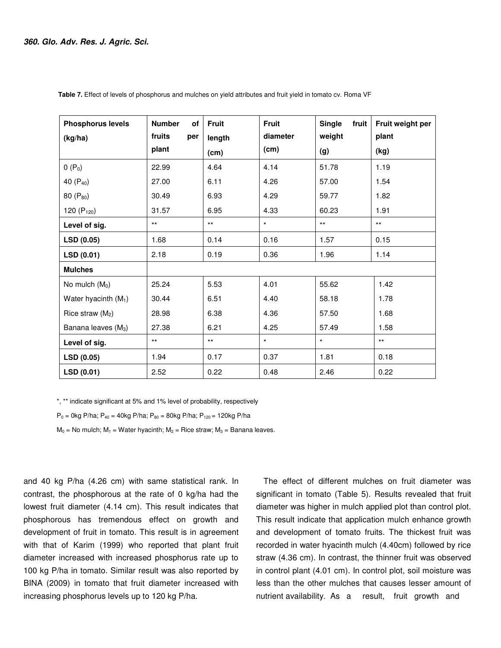| <b>Phosphorus levels</b>        | <b>Number</b><br>of | <b>Fruit</b> | <b>Fruit</b> | <b>Single</b><br>fruit | Fruit weight per |
|---------------------------------|---------------------|--------------|--------------|------------------------|------------------|
| (kg/ha)                         | fruits<br>per       | length       | diameter     | weight                 | plant            |
|                                 | plant               | (cm)         | (cm)         | (g)                    | (kg)             |
| $0(P_0)$                        | 22.99               | 4.64         | 4.14         | 51.78                  | 1.19             |
| 40 (P <sub>40</sub> )           | 27.00               | 6.11         | 4.26         | 57.00                  | 1.54             |
| 80 $(P_{80})$                   | 30.49               | 6.93         | 4.29         | 59.77                  | 1.82             |
| 120 $(P_{120})$                 | 31.57               | 6.95         | 4.33         | 60.23                  | 1.91             |
| Level of sig.                   | $***$               | $***$        | $\star$      | $***$                  | $***$            |
| LSD (0.05)                      | 1.68                | 0.14         | 0.16         | 1.57                   | 0.15             |
| LSD(0.01)                       | 2.18                | 0.19         | 0.36         | 1.96                   | 1.14             |
| <b>Mulches</b>                  |                     |              |              |                        |                  |
| No mulch $(M0)$                 | 25.24               | 5.53         | 4.01         | 55.62                  | 1.42             |
| Water hyacinth $(M_1)$          | 30.44               | 6.51         | 4.40         | 58.18                  | 1.78             |
| Rice straw $(M_2)$              | 28.98               | 6.38         | 4.36         | 57.50                  | 1.68             |
| Banana leaves (M <sub>3</sub> ) | 27.38               | 6.21         | 4.25         | 57.49                  | 1.58             |
| Level of sig.                   | $\star\star$        | $***$        | $\star$      | $\star$                | $***$            |
| LSD (0.05)                      | 1.94                | 0.17         | 0.37         | 1.81                   | 0.18             |
| LSD(0.01)                       | 2.52                | 0.22         | 0.48         | 2.46                   | 0.22             |

 **Table 7.** Effect of levels of phosphorus and mulches on yield attributes and fruit yield in tomato cv. Roma VF

\*, \*\* indicate significant at 5% and 1% level of probability, respectively

 $P_0 = 0$ kg P/ha;  $P_{40} = 40$ kg P/ha;  $P_{80} = 80$ kg P/ha;  $P_{120} = 120$ kg P/ha

 $M_0$  = No mulch;  $M_1$  = Water hyacinth;  $M_2$  = Rice straw;  $M_3$  = Banana leaves.

and 40 kg P/ha (4.26 cm) with same statistical rank. In contrast, the phosphorous at the rate of 0 kg/ha had the lowest fruit diameter (4.14 cm). This result indicates that phosphorous has tremendous effect on growth and development of fruit in tomato. This result is in agreement with that of Karim (1999) who reported that plant fruit diameter increased with increased phosphorus rate up to 100 kg P/ha in tomato. Similar result was also reported by BINA (2009) in tomato that fruit diameter increased with increasing phosphorus levels up to 120 kg P/ha.

The effect of different mulches on fruit diameter was significant in tomato (Table 5). Results revealed that fruit diameter was higher in mulch applied plot than control plot. This result indicate that application mulch enhance growth and development of tomato fruits. The thickest fruit was recorded in water hyacinth mulch (4.40cm) followed by rice straw (4.36 cm). In contrast, the thinner fruit was observed in control plant (4.01 cm). In control plot, soil moisture was less than the other mulches that causes lesser amount of nutrient availability. As a result, fruit growth and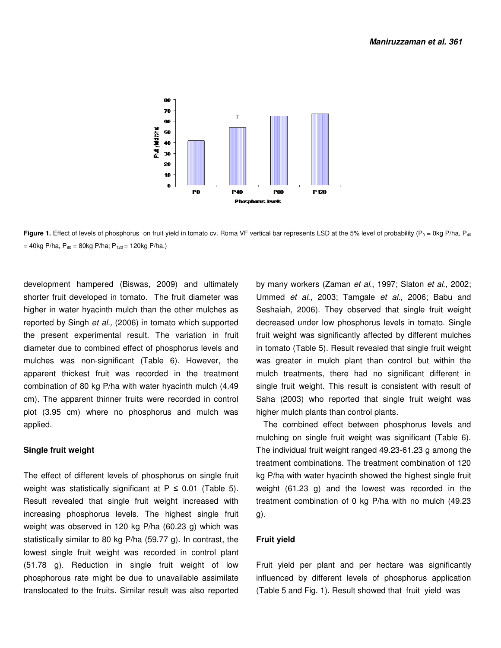

**Figure 1.** Effect of levels of phosphorus on fruit yield in tomato cv. Roma VF vertical bar represents LSD at the 5% level of probability ( $P_0 = 0$ kg P/ha,  $P_{40}$  $= 40$ kg P/ha, P<sub>80</sub> = 80kg P/ha; P<sub>120</sub> = 120kg P/ha.)

development hampered (Biswas, 2009) and ultimately shorter fruit developed in tomato. The fruit diameter was higher in water hyacinth mulch than the other mulches as reported by Singh et al., (2006) in tomato which supported the present experimental result. The variation in fruit diameter due to combined effect of phosphorus levels and mulches was non-significant (Table 6). However, the apparent thickest fruit was recorded in the treatment combination of 80 kg P/ha with water hyacinth mulch (4.49 cm). The apparent thinner fruits were recorded in control plot (3.95 cm) where no phosphorus and mulch was applied.

# **Single fruit weight**

The effect of different levels of phosphorus on single fruit weight was statistically significant at  $P \le 0.01$  (Table 5). Result revealed that single fruit weight increased with increasing phosphorus levels. The highest single fruit weight was observed in 120 kg P/ha (60.23 g) which was statistically similar to 80 kg P/ha (59.77 g). In contrast, the lowest single fruit weight was recorded in control plant (51.78 g). Reduction in single fruit weight of low phosphorous rate might be due to unavailable assimilate translocated to the fruits. Similar result was also reported by many workers (Zaman et al., 1997; Slaton et al., 2002; Ummed et al., 2003; Tamgale et al., 2006; Babu and Seshaiah, 2006). They observed that single fruit weight decreased under low phosphorus levels in tomato. Single fruit weight was significantly affected by different mulches in tomato (Table 5). Result revealed that single fruit weight was greater in mulch plant than control but within the mulch treatments, there had no significant different in single fruit weight. This result is consistent with result of Saha (2003) who reported that single fruit weight was higher mulch plants than control plants.

The combined effect between phosphorus levels and mulching on single fruit weight was significant (Table 6). The individual fruit weight ranged 49.23-61.23 g among the treatment combinations. The treatment combination of 120 kg P/ha with water hyacinth showed the highest single fruit weight (61.23 g) and the lowest was recorded in the treatment combination of 0 kg P/ha with no mulch (49.23 g).

# **Fruit yield**

Fruit yield per plant and per hectare was significantly influenced by different levels of phosphorus application (Table 5 and Fig. 1). Result showed that fruit yield was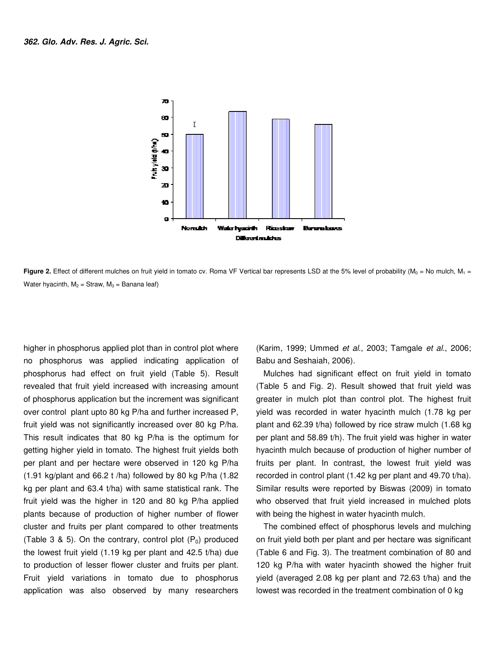

**Figure 2.** Effect of different mulches on fruit yield in tomato cv. Roma VF Vertical bar represents LSD at the 5% level of probability ( $M_0$  = No mulch,  $M_1$  = Water hyacinth,  $M_2$  = Straw,  $M_3$  = Banana leaf)

higher in phosphorus applied plot than in control plot where no phosphorus was applied indicating application of phosphorus had effect on fruit yield (Table 5). Result revealed that fruit yield increased with increasing amount of phosphorus application but the increment was significant over control plant upto 80 kg P/ha and further increased P, fruit yield was not significantly increased over 80 kg P/ha. This result indicates that 80 kg P/ha is the optimum for getting higher yield in tomato. The highest fruit yields both per plant and per hectare were observed in 120 kg P/ha  $(1.91 \text{ kg/plant}$  and 66.2 t /ha) followed by 80 kg P/ha  $(1.82 \text{ m})$ kg per plant and 63.4 t/ha) with same statistical rank. The fruit yield was the higher in 120 and 80 kg P/ha applied plants because of production of higher number of flower cluster and fruits per plant compared to other treatments (Table 3 & 5). On the contrary, control plot  $(P_0)$  produced the lowest fruit yield (1.19 kg per plant and 42.5 t/ha) due to production of lesser flower cluster and fruits per plant. Fruit yield variations in tomato due to phosphorus application was also observed by many researchers

(Karim, 1999; Ummed et al., 2003; Tamgale et al., 2006; Babu and Seshaiah, 2006).

Mulches had significant effect on fruit yield in tomato (Table 5 and Fig. 2). Result showed that fruit yield was greater in mulch plot than control plot. The highest fruit yield was recorded in water hyacinth mulch (1.78 kg per plant and 62.39 t/ha) followed by rice straw mulch (1.68 kg per plant and 58.89 t/h). The fruit yield was higher in water hyacinth mulch because of production of higher number of fruits per plant. In contrast, the lowest fruit yield was recorded in control plant (1.42 kg per plant and 49.70 t/ha). Similar results were reported by Biswas (2009) in tomato who observed that fruit yield increased in mulched plots with being the highest in water hyacinth mulch.

The combined effect of phosphorus levels and mulching on fruit yield both per plant and per hectare was significant (Table 6 and Fig. 3). The treatment combination of 80 and 120 kg P/ha with water hyacinth showed the higher fruit yield (averaged 2.08 kg per plant and 72.63 t/ha) and the lowest was recorded in the treatment combination of 0 kg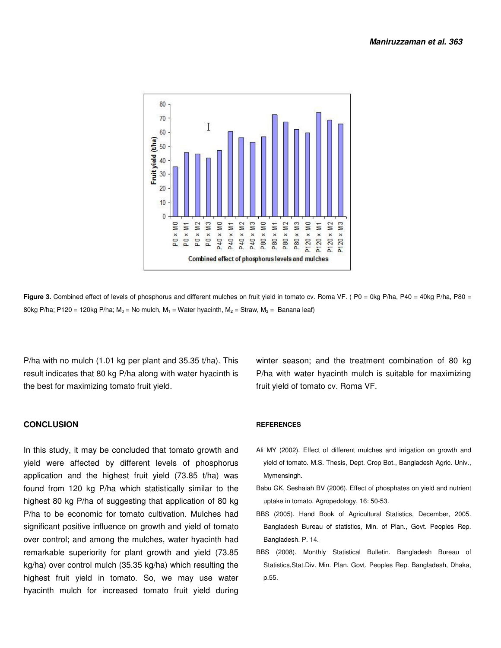

Figure 3. Combined effect of levels of phosphorus and different mulches on fruit yield in tomato cv. Roma VF. (P0 = 0kg P/ha, P40 = 40kg P/ha, P80 = 80kg P/ha; P120 = 120kg P/ha;  $M_0$  = No mulch,  $M_1$  = Water hyacinth,  $M_2$  = Straw,  $M_3$  = Banana leaf)

P/ha with no mulch (1.01 kg per plant and 35.35 t/ha). This result indicates that 80 kg P/ha along with water hyacinth is the best for maximizing tomato fruit yield.

#### **CONCLUSION**

In this study, it may be concluded that tomato growth and yield were affected by different levels of phosphorus application and the highest fruit yield (73.85 t/ha) was found from 120 kg P/ha which statistically similar to the highest 80 kg P/ha of suggesting that application of 80 kg P/ha to be economic for tomato cultivation. Mulches had significant positive influence on growth and yield of tomato over control; and among the mulches, water hyacinth had remarkable superiority for plant growth and yield (73.85 kg/ha) over control mulch (35.35 kg/ha) which resulting the highest fruit yield in tomato. So, we may use water hyacinth mulch for increased tomato fruit yield during

winter season; and the treatment combination of 80 kg P/ha with water hyacinth mulch is suitable for maximizing fruit yield of tomato cv. Roma VF.

#### **REFERENCES**

- Ali MY (2002). Effect of different mulches and irrigation on growth and yield of tomato. M.S. Thesis, Dept. Crop Bot., Bangladesh Agric. Univ., Mymensingh.
- Babu GK, Seshaiah BV (2006). Effect of phosphates on yield and nutrient uptake in tomato. Agropedology, 16: 50-53.
- BBS (2005). Hand Book of Agricultural Statistics, December, 2005. Bangladesh Bureau of statistics, Min. of Plan., Govt. Peoples Rep. Bangladesh. P. 14.
- BBS (2008). Monthly Statistical Bulletin. Bangladesh Bureau of Statistics,Stat.Div. Min. Plan. Govt. Peoples Rep. Bangladesh, Dhaka, p.55.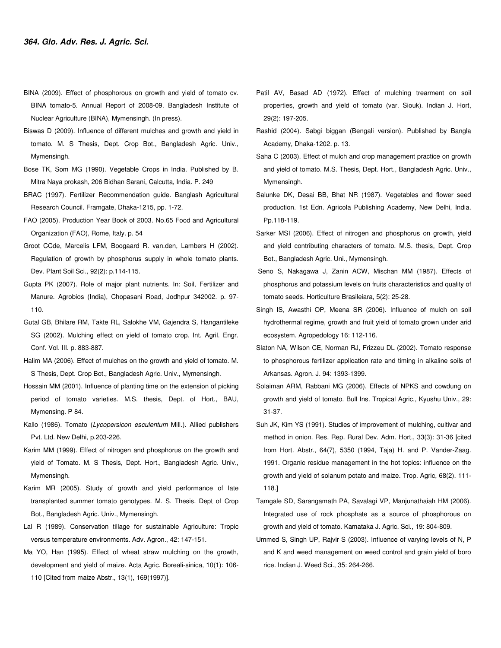- BINA (2009). Effect of phosphorous on growth and yield of tomato cv. BINA tomato-5. Annual Report of 2008-09. Bangladesh Institute of Nuclear Agriculture (BINA), Mymensingh. (In press).
- Biswas D (2009). Influence of different mulches and growth and yield in tomato. M. S Thesis, Dept. Crop Bot., Bangladesh Agric. Univ., Mymensingh.
- Bose TK, Som MG (1990). Vegetable Crops in India. Published by B. Mitra Naya prokash, 206 Bidhan Sarani, Calcutta, India. P. 249
- BRAC (1997). Fertilizer Recommendation guide. Banglash Agricultural Research Council. Framgate, Dhaka-1215, pp. 1-72.
- FAO (2005). Production Year Book of 2003. No.65 Food and Agricultural Organization (FAO), Rome, Italy. p. 54
- Groot CCde, Marcelis LFM, Boogaard R. van.den, Lambers H (2002). Regulation of growth by phosphorus supply in whole tomato plants. Dev. Plant Soil Sci., 92(2): p.114-115.
- Gupta PK (2007). Role of major plant nutrients. In: Soil, Fertilizer and Manure. Agrobios (India), Chopasani Road, Jodhpur 342002. p. 97- 110.
- Gutal GB, Bhilare RM, Takte RL, Salokhe VM, Gajendra S, Hangantileke SG (2002). Mulching effect on yield of tomato crop. Int. Agril. Engr. Conf. Vol. III. p. 883-887.
- Halim MA (2006). Effect of mulches on the growth and yield of tomato. M. S Thesis, Dept. Crop Bot., Bangladesh Agric. Univ., Mymensingh.
- Hossain MM (2001). Influence of planting time on the extension of picking period of tomato varieties. M.S. thesis, Dept. of Hort., BAU, Mymensing. P 84.
- Kallo (1986). Tomato (Lycopersicon esculentum Mill.). Allied publishers Pvt. Ltd. New Delhi, p.203-226.
- Karim MM (1999). Effect of nitrogen and phosphorus on the growth and yield of Tomato. M. S Thesis, Dept. Hort., Bangladesh Agric. Univ., Mymensingh.
- Karim MR (2005). Study of growth and yield performance of late transplanted summer tomato genotypes. M. S. Thesis. Dept of Crop Bot., Bangladesh Agric. Univ., Mymensingh.
- Lal R (1989). Conservation tillage for sustainable Agriculture: Tropic versus temperature environments. Adv. Agron., 42: 147-151.
- Ma YO, Han (1995). Effect of wheat straw mulching on the growth, development and yield of maize. Acta Agric. Boreali-sinica, 10(1): 106- 110 [Cited from maize Abstr., 13(1), 169(1997)].
- Patil AV, Basad AD (1972). Effect of mulching trearment on soil properties, growth and yield of tomato (var. Siouk). Indian J. Hort, 29(2): 197-205.
- Rashid (2004). Sabgi biggan (Bengali version). Published by Bangla Academy, Dhaka-1202. p. 13.
- Saha C (2003). Effect of mulch and crop management practice on growth and yield of tomato. M.S. Thesis, Dept. Hort., Bangladesh Agric. Univ., Mymensingh.
- Salunke DK, Desai BB, Bhat NR (1987). Vegetables and flower seed production. 1st Edn. Agricola Publishing Academy, New Delhi, India. Pp.118-119.
- Sarker MSI (2006). Effect of nitrogen and phosphorus on growth, yield and yield contributing characters of tomato. M.S. thesis, Dept. Crop Bot., Bangladesh Agric. Uni., Mymensingh.
- Seno S, Nakagawa J, Zanin ACW, Mischan MM (1987). Effects of phosphorus and potassium levels on fruits characteristics and quality of tomato seeds. Horticulture Brasileiara, 5(2): 25-28.
- Singh IS, Awasthi OP, Meena SR (2006). Influence of mulch on soil hydrothermal regime, growth and fruit yield of tomato grown under arid ecosystem. Agropedology 16: 112-116.
- Slaton NA, Wilson CE, Norman RJ, Frizzeu DL (2002). Tomato response to phosphorous fertilizer application rate and timing in alkaline soils of Arkansas. Agron. J. 94: 1393-1399.
- Solaiman ARM, Rabbani MG (2006). Effects of NPKS and cowdung on growth and yield of tomato. Bull Ins. Tropical Agric., Kyushu Univ., 29: 31-37.
- Suh JK, Kim YS (1991). Studies of improvement of mulching, cultivar and method in onion. Res. Rep. Rural Dev. Adm. Hort., 33(3): 31-36 [cited from Hort. Abstr., 64(7), 5350 (1994, Taja) H. and P. Vander-Zaag. 1991. Organic residue management in the hot topics: influence on the growth and yield of solanum potato and maize. Trop. Agric, 68(2). 111- 118.]
- Tamgale SD, Sarangamath PA, Savalagi VP, Manjunathaiah HM (2006). Integrated use of rock phosphate as a source of phosphorous on growth and yield of tomato. Kamataka J. Agric. Sci., 19: 804-809.
- Ummed S, Singh UP, Rajvir S (2003). Influence of varying levels of N, P and K and weed management on weed control and grain yield of boro rice. Indian J. Weed Sci., 35: 264-266.